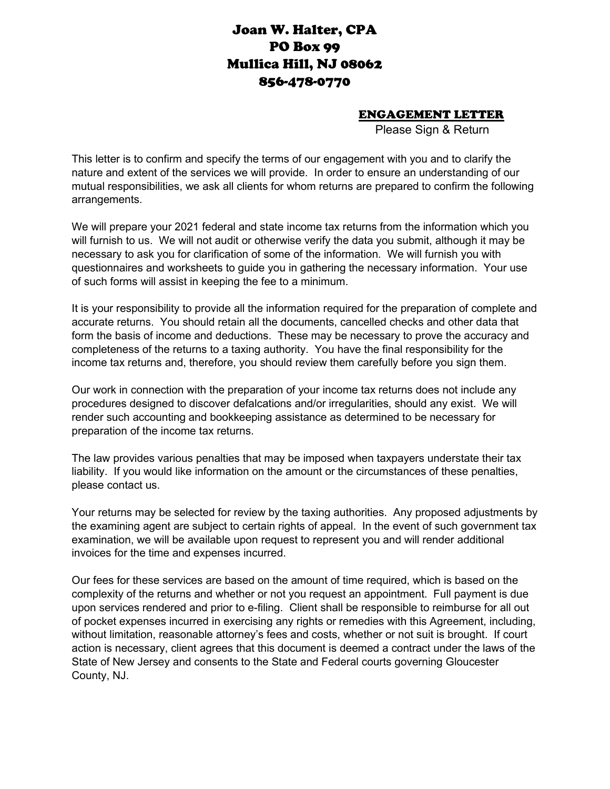## Joan W. Halter, CPA PO Box 99 Mullica Hill, NJ 08062 856-478-0770

## ENGAGEMENT LETTER

Please Sign & Return

This letter is to confirm and specify the terms of our engagement with you and to clarify the nature and extent of the services we will provide. In order to ensure an understanding of our mutual responsibilities, we ask all clients for whom returns are prepared to confirm the following arrangements.

We will prepare your 2021 federal and state income tax returns from the information which you will furnish to us. We will not audit or otherwise verify the data you submit, although it may be necessary to ask you for clarification of some of the information. We will furnish you with questionnaires and worksheets to guide you in gathering the necessary information. Your use of such forms will assist in keeping the fee to a minimum.

It is your responsibility to provide all the information required for the preparation of complete and accurate returns. You should retain all the documents, cancelled checks and other data that form the basis of income and deductions. These may be necessary to prove the accuracy and completeness of the returns to a taxing authority. You have the final responsibility for the income tax returns and, therefore, you should review them carefully before you sign them.

Our work in connection with the preparation of your income tax returns does not include any procedures designed to discover defalcations and/or irregularities, should any exist. We will render such accounting and bookkeeping assistance as determined to be necessary for preparation of the income tax returns.

The law provides various penalties that may be imposed when taxpayers understate their tax liability. If you would like information on the amount or the circumstances of these penalties, please contact us.

Your returns may be selected for review by the taxing authorities. Any proposed adjustments by the examining agent are subject to certain rights of appeal. In the event of such government tax examination, we will be available upon request to represent you and will render additional invoices for the time and expenses incurred.

Our fees for these services are based on the amount of time required, which is based on the complexity of the returns and whether or not you request an appointment. Full payment is due upon services rendered and prior to e-filing. Client shall be responsible to reimburse for all out of pocket expenses incurred in exercising any rights or remedies with this Agreement, including, without limitation, reasonable attorney's fees and costs, whether or not suit is brought. If court action is necessary, client agrees that this document is deemed a contract under the laws of the State of New Jersey and consents to the State and Federal courts governing Gloucester County, NJ.